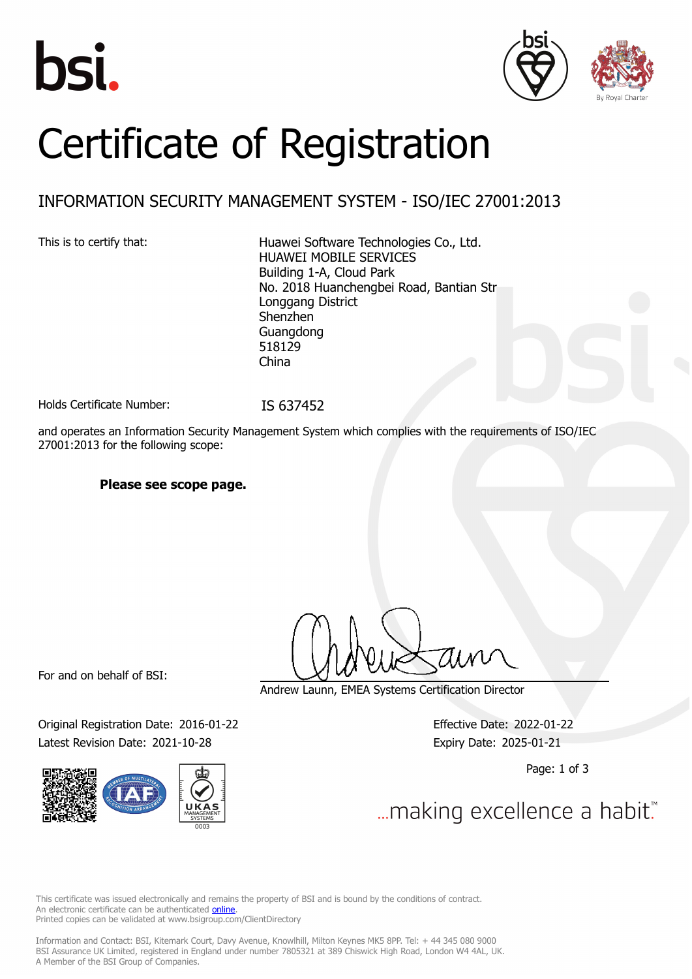





# Certificate of Registration

### INFORMATION SECURITY MANAGEMENT SYSTEM - ISO/IEC 27001:2013

This is to certify that: Huawei Software Technologies Co., Ltd. HUAWEI MOBILE SERVICES Building 1-A, Cloud Park No. 2018 Huanchengbei Road, Bantian Str Longgang District Shenzhen Guangdong 518129 China

Holds Certificate Number: IS 637452

and operates an Information Security Management System which complies with the requirements of ISO/IEC 27001:2013 for the following scope:

### **Please see scope page.**

For and on behalf of BSI:

Original Registration Date: 2016-01-22 Effective Date: 2022-01-22 Latest Revision Date: 2021-10-28 Expiry Date: 2025-01-21



Andrew Launn, EMEA Systems Certification Director

Page: 1 of 3

... making excellence a habit.

This certificate was issued electronically and remains the property of BSI and is bound by the conditions of contract. An electronic certificate can be authenticated **[online](https://pgplus.bsigroup.com/CertificateValidation/CertificateValidator.aspx?CertificateNumber=IS+637452&ReIssueDate=28%2f10%2f2021&Template=uk)**. Printed copies can be validated at www.bsigroup.com/ClientDirectory

Information and Contact: BSI, Kitemark Court, Davy Avenue, Knowlhill, Milton Keynes MK5 8PP. Tel: + 44 345 080 9000 BSI Assurance UK Limited, registered in England under number 7805321 at 389 Chiswick High Road, London W4 4AL, UK. A Member of the BSI Group of Companies.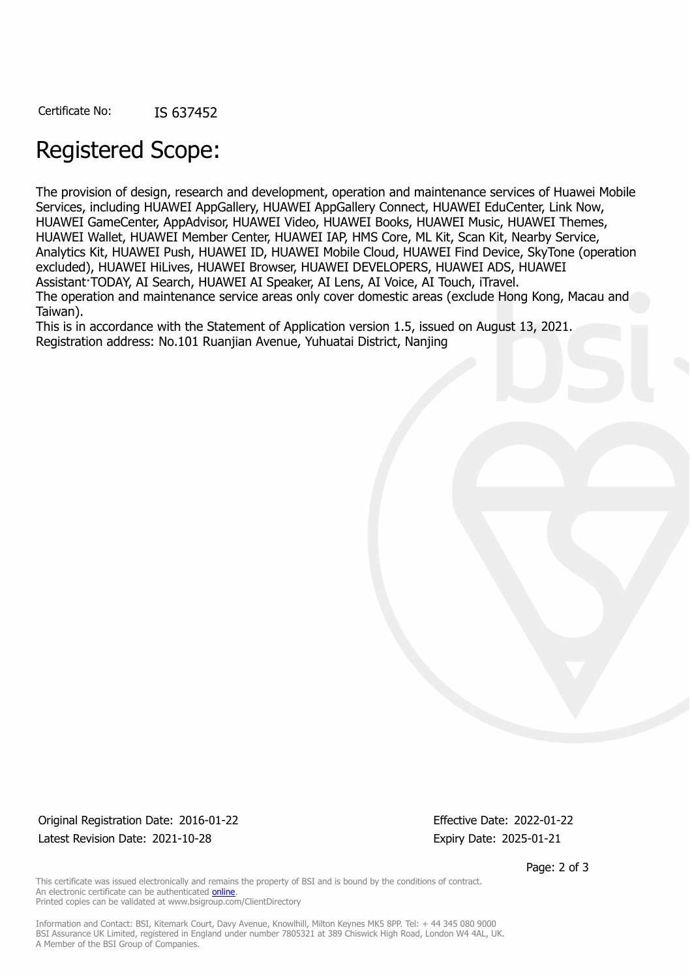## Registered Scope:

The provision of design, research and development, operation and maintenance services of Huawei Mobile Services, including HUAWEI AppGallery, HUAWEI AppGallery Connect, HUAWEI EduCenter, Link Now, HUAWEI GameCenter, AppAdvisor, HUAWEI Video, HUAWEI Books, HUAWEI Music, HUAWEI Themes, HUAWEI Wallet, HUAWEI Member Center, HUAWEI IAP, HMS Core, ML Kit, Scan Kit, Nearby Service, Analytics Kit, HUAWEI Push, HUAWEI ID, HUAWEI Mobile Cloud, HUAWEI Find Device, SkyTone (operation excluded), HUAWEI HiLives, HUAWEI Browser, HUAWEI DEVELOPERS, HUAWEI ADS, HUAWEI Assistant·TODAY, AI Search, HUAWEI AI Speaker, AI Lens, AI Voice, AI Touch, iTravel. The operation and maintenance service areas only cover domestic areas (exclude Hong Kong, Macau and Taiwan).

This is in accordance with the Statement of Application version 1.5, issued on August 13, 2021. Registration address: No.101 Ruanjian Avenue, Yuhuatai District, Nanjing

Original Registration Date: 2016-01-22 Effective Date: 2022-01-22 Latest Revision Date: 2021-10-28 Expiry Date: 2025-01-21

Page: 2 of 3

This certificate was issued electronically and remains the property of BSI and is bound by the conditions of contract. An electronic certificate can be authenticated [online](https://pgplus.bsigroup.com/CertificateValidation/CertificateValidator.aspx?CertificateNumber=IS+637452&ReIssueDate=28%2f10%2f2021&Template=uk). Printed copies can be validated at www.bsigroup.com/ClientDirectory

Information and Contact: BSI, Kitemark Court, Davy Avenue, Knowlhill, Milton Keynes MK5 8PP. Tel: + 44 345 080 9000 BSI Assurance UK Limited, registered in England under number 7805321 at 389 Chiswick High Road, London W4 4AL, UK. A Member of the BSI Group of Companies.